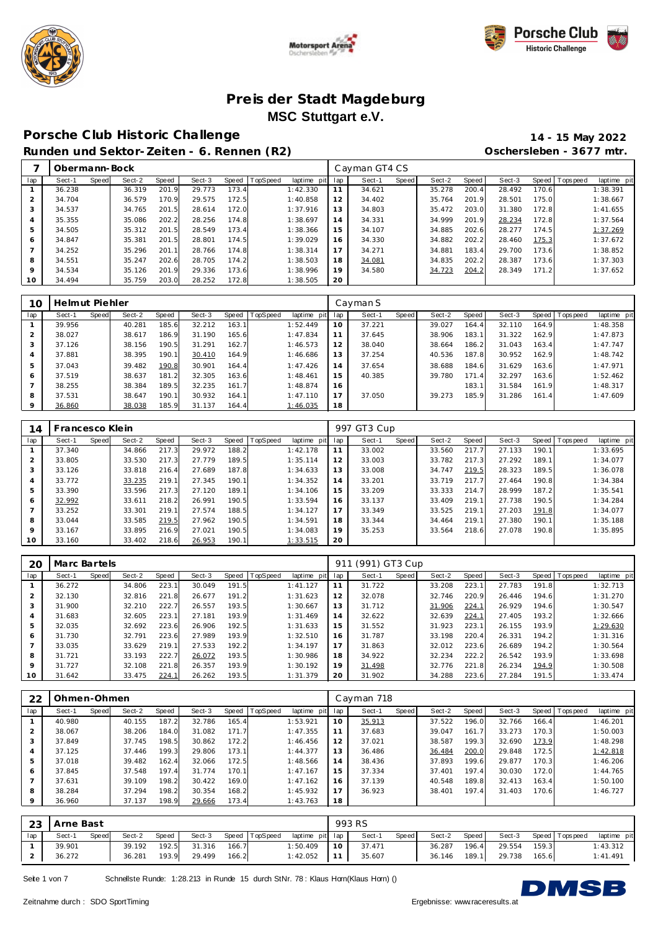





## **Porsche C lub Historic Challenge 14 - 15 May 2022**

**Runden und Sektor-Zeiten - 6. Rennen (R2) Oschersleben - 3677 mtr.**

|     | Obermann-Bock |       |        |       |        |       |                  |             |     | Cayman GT4 CS |       |        |       |        |       |                   |             |
|-----|---------------|-------|--------|-------|--------|-------|------------------|-------------|-----|---------------|-------|--------|-------|--------|-------|-------------------|-------------|
| lap | Sect-1        | Speed | Sect-2 | Speed | Sect-3 |       | Speed   TopSpeed | laptime pit | lap | Sect-1        | Speed | Sect-2 | Speed | Sect-3 |       | Speed   Tops peed | laptime pit |
|     | 36.238        |       | 36.319 | 201.9 | 29.773 | 173.4 |                  | 1:42.330    | 11  | 34.621        |       | 35.278 | 200.4 | 28.492 | 170.6 |                   | 1:38.391    |
| 2   | 34.704        |       | 36.579 | 170.9 | 29.575 | 172.5 |                  | 1:40.858    | 12  | 34.402        |       | 35.764 | 201.9 | 28.501 | 175.0 |                   | 1:38.667    |
| 3   | 34.537        |       | 34.765 | 201.5 | 28.614 | 172.0 |                  | 1:37.916    | 13  | 34.803        |       | 35.472 | 203.0 | 31.380 | 172.8 |                   | 1:41.655    |
| 4   | 35.355        |       | 35.086 | 202.2 | 28.256 | 174.8 |                  | 1:38.697    | 14  | 34.331        |       | 34.999 | 201.9 | 28.234 | 172.8 |                   | 1:37.564    |
| 5   | 34.505        |       | 35.312 | 201.5 | 28.549 | 173.4 |                  | 1:38.366    | 15  | 34.107        |       | 34.885 | 202.6 | 28.277 | 174.5 |                   | 1:37.269    |
| 6   | 34.847        |       | 35.381 | 201.5 | 28.801 | 174.5 |                  | 1:39.029    | 16  | 34.330        |       | 34.882 | 202.2 | 28.460 | 175.3 |                   | 1:37.672    |
|     | 34.252        |       | 35.296 | 201.1 | 28.766 | 174.8 |                  | 1:38.314    | 17  | 34.271        |       | 34.881 | 183.4 | 29.700 | 173.6 |                   | 1:38.852    |
| 8   | 34.551        |       | 35.247 | 202.6 | 28.705 | 174.2 |                  | 1:38.503    | 18  | 34.081        |       | 34.835 | 202.2 | 28.387 | 173.6 |                   | 1:37.303    |
| 9   | 34.534        |       | 35.126 | 201.9 | 29.336 | 173.6 |                  | 1:38.996    | 19  | 34.580        |       | 34.723 | 204.2 | 28.349 | 171.2 |                   | 1:37.652    |
| 10  | 34.494        |       | 35.759 | 203.0 | 28.252 | 172.8 |                  | 1:38.505    | 20  |               |       |        |       |        |       |                   |             |

| 10             | Helmut Piehler |       |        |       |        |       |                |             |     | Cayman S |       |        |       |        |       |                |             |
|----------------|----------------|-------|--------|-------|--------|-------|----------------|-------------|-----|----------|-------|--------|-------|--------|-------|----------------|-------------|
| lap            | Sect-1         | Speed | Sect-2 | Speed | Sect-3 |       | Speed TopSpeed | laptime pit | lap | Sect-1   | Speed | Sect-2 | Speed | Sect-3 |       | Speed Topspeed | laptime pit |
|                | 39.956         |       | 40.281 | 185.6 | 32.212 | 163.1 |                | 1:52.449    | 10  | 37.221   |       | 39.027 | 164.4 | 32.110 | 164.9 |                | 1:48.358    |
| $\overline{2}$ | 38.027         |       | 38.617 | 186.9 | 31.190 | 165.6 |                | 1:47.834    | 11  | 37.645   |       | 38.906 | 183.1 | 31.322 | 162.9 |                | 1:47.873    |
| 3              | 37.126         |       | 38.156 | 190.5 | 31.291 | 162.7 |                | 1:46.573    | 12  | 38.040   |       | 38.664 | 186.2 | 31.043 | 163.4 |                | 1:47.747    |
| $\overline{4}$ | 37.881         |       | 38.395 | 190.1 | 30.410 | 164.9 |                | 1:46.686    | 13  | 37.254   |       | 40.536 | 187.8 | 30.952 | 162.9 |                | 1:48.742    |
| 5              | 37.043         |       | 39.482 | 190.8 | 30.901 | 164.4 |                | 1:47.426    | 14  | 37.654   |       | 38.688 | 184.6 | 31.629 | 163.6 |                | 1:47.971    |
| 6              | 37.519         |       | 38.637 | 181.2 | 32.305 | 163.6 |                | 1:48.461    | 15  | 40.385   |       | 39.780 | 171.4 | 32.297 | 163.6 |                | 1:52.462    |
|                | 38.255         |       | 38.384 | 189.5 | 32.235 | 161.7 |                | 1:48.874    | 16  |          |       |        | 183.1 | 31.584 | 161.9 |                | 1:48.317    |
| 8              | 37.531         |       | 38.647 | 190.1 | 30.932 | 164.1 |                | 1:47.110    | 17  | 37.050   |       | 39.273 | 185.9 | 31.286 | 161.4 |                | 1:47.609    |
| $\circ$        | 36.860         |       | 38.038 | 185.9 | 31.137 | 164.4 |                | 1:46.035    | 18  |          |       |        |       |        |       |                |             |

| 14             | Francesco Klein |       |        |       |        |       |                 |             |     | 997 GT3 Cup |       |        |       |        |       |                |             |
|----------------|-----------------|-------|--------|-------|--------|-------|-----------------|-------------|-----|-------------|-------|--------|-------|--------|-------|----------------|-------------|
| lap            | Sect-1          | Speed | Sect-2 | Speed | Sect-3 | Speed | <b>TopSpeed</b> | laptime pit | lap | Sect-1      | Speed | Sect-2 | Speed | Sect-3 |       | Speed Topspeed | laptime pit |
|                | 37.340          |       | 34.866 | 217.3 | 29.972 | 188.2 |                 | 1:42.178    | 11  | 33.002      |       | 33.560 | 217.7 | 27.133 | 190.1 |                | 1:33.695    |
| 2              | 33.805          |       | 33.530 | 217.3 | 27.779 | 189.5 |                 | 1:35.114    | 12  | 33.003      |       | 33.782 | 217.3 | 27.292 | 189.1 |                | 1:34.077    |
| 3              | 33.126          |       | 33.818 | 216.4 | 27.689 | 187.8 |                 | 1:34.633    | 13  | 33.008      |       | 34.747 | 219.5 | 28.323 | 189.5 |                | 1:36.078    |
| $\overline{4}$ | 33.772          |       | 33.235 | 219.1 | 27.345 | 190.1 |                 | 1:34.352    | 14  | 33.201      |       | 33.719 | 217.7 | 27.464 | 190.8 |                | 1:34.384    |
| 5              | 33.390          |       | 33.596 | 217.3 | 27.120 | 189.1 |                 | 1:34.106    | 15  | 33.209      |       | 33.333 | 214.7 | 28.999 | 187.2 |                | 1:35.541    |
| 6              | 32.992          |       | 33.611 | 218.2 | 26.991 | 190.5 |                 | 1:33.594    | 16  | 33.137      |       | 33.409 | 219.1 | 27.738 | 190.5 |                | 1:34.284    |
|                | 33.252          |       | 33.301 | 219.1 | 27.574 | 188.5 |                 | 1:34.127    | 17  | 33.349      |       | 33.525 | 219.1 | 27.203 | 191.8 |                | 1:34.077    |
| 8              | 33.044          |       | 33.585 | 219.5 | 27.962 | 190.5 |                 | 1:34.591    | 18  | 33.344      |       | 34.464 | 219.1 | 27.380 | 190.1 |                | 1:35.188    |
| 9              | 33.167          |       | 33.895 | 216.9 | 27.021 | 190.5 |                 | 1:34.083    | 19  | 35.253      |       | 33.564 | 218.6 | 27.078 | 190.8 |                | 1:35.895    |
| 10             | 33.160          |       | 33.402 | 218.6 | 26.953 | 190.1 |                 | 1:33.515    | 20  |             |       |        |       |        |       |                |             |

| 20             | Marc Bartels |       |        |       |        |       |          |             | 911 | (991) GT3 Cup |       |        |       |        |       |                   |             |
|----------------|--------------|-------|--------|-------|--------|-------|----------|-------------|-----|---------------|-------|--------|-------|--------|-------|-------------------|-------------|
| lap            | Sect-1       | Speed | Sect-2 | Speed | Sect-3 | Speed | TopSpeed | laptime pit | lap | Sect-1        | Speed | Sect-2 | Speed | Sect-3 |       | Speed   Tops peed | laptime pit |
|                | 36.272       |       | 34.806 | 223.1 | 30.049 | 191.5 |          | 1:41.127    |     | 31.722        |       | 33.208 | 223.1 | 27.783 | 191.8 |                   | 1:32.713    |
| 2              | 32.130       |       | 32.816 | 221.8 | 26.677 | 191.2 |          | 1:31.623    | 12  | 32.078        |       | 32.746 | 220.9 | 26.446 | 194.6 |                   | 1:31.270    |
| 3              | 31.900       |       | 32.210 | 222.7 | 26.557 | 193.5 |          | 1:30.667    | 13  | 31.712        |       | 31.906 | 224.1 | 26.929 | 194.6 |                   | 1:30.547    |
| $\overline{4}$ | 31.683       |       | 32.605 | 223.1 | 27.181 | 193.9 |          | 1:31.469    | 14  | 32.622        |       | 32.639 | 224.1 | 27.405 | 193.2 |                   | 1:32.666    |
| 5              | 32.035       |       | 32.692 | 223.6 | 26.906 | 192.5 |          | 1:31.633    | 15  | 31.552        |       | 31.923 | 223.1 | 26.155 | 193.9 |                   | 1:29.630    |
| 6              | 31.730       |       | 32.791 | 223.6 | 27.989 | 193.9 |          | 1:32.510    | 16  | 31.787        |       | 33.198 | 220.4 | 26.331 | 194.2 |                   | 1:31.316    |
|                | 33.035       |       | 33.629 | 219.1 | 27.533 | 192.2 |          | 1:34.197    | 17  | 31.863        |       | 32.012 | 223.6 | 26.689 | 194.2 |                   | 1:30.564    |
| 8              | 31.721       |       | 33.193 | 222.7 | 26.072 | 193.5 |          | 1:30.986    | 18  | 34.922        |       | 32.234 | 222.2 | 26.542 | 193.9 |                   | 1:33.698    |
| 9              | 31.727       |       | 32.108 | 221.8 | 26.357 | 193.9 |          | 1:30.192    | 19  | 31.498        |       | 32.776 | 221.8 | 26.234 | 194.9 |                   | 1:30.508    |
| 10             | 31.642       |       | 33.475 | 224.1 | 26.262 | 193.5 |          | 1:31.379    | 20  | 31.902        |       | 34.288 | 223.6 | 27.284 | 191.5 |                   | 1:33.474    |

| 22      | Ohmen-Ohmen |       |        |       |        |       |          |             |     | Cayman 718 |       |        |       |        |       |                 |             |
|---------|-------------|-------|--------|-------|--------|-------|----------|-------------|-----|------------|-------|--------|-------|--------|-------|-----------------|-------------|
| lap     | Sect-1      | Speed | Sect-2 | Speed | Sect-3 | Speed | TopSpeed | laptime pit | lap | Sect-1     | Speed | Sect-2 | Speed | Sect-3 |       | Speed Tops peed | laptime pit |
|         | 40.980      |       | 40.155 | 187.2 | 32.786 | 165.4 |          | 1:53.921    | 10  | 35.913     |       | 37.522 | 196.0 | 32.766 | 166.4 |                 | 1:46.201    |
|         | 38.067      |       | 38.206 | 184.0 | 31.082 | 171.7 |          | 1:47.355    | 11  | 37.683     |       | 39.047 | 161.7 | 33.273 | 170.3 |                 | 1:50.003    |
| 3       | 37.849      |       | 37.745 | 198.5 | 30.862 | 172.2 |          | 1:46.456    | 12  | 37.021     |       | 38.587 | 199.3 | 32.690 | 173.9 |                 | 1:48.298    |
| 4       | 37.125      |       | 37.446 | 199.3 | 29.806 | 173.1 |          | 1:44.377    | 13  | 36.486     |       | 36.484 | 200.0 | 29.848 | 172.5 |                 | 1:42.818    |
| 5       | 37.018      |       | 39.482 | 162.4 | 32.066 | 172.5 |          | 1:48.566    | 14  | 38.436     |       | 37.893 | 199.6 | 29.877 | 170.3 |                 | 1:46.206    |
| 6       | 37.845      |       | 37.548 | 197.4 | 31.774 | 170.1 |          | 1:47.167    | 15  | 37.334     |       | 37.401 | 197.4 | 30.030 | 172.0 |                 | 1:44.765    |
|         | 37.631      |       | 39.109 | 198.2 | 30.422 | 169.0 |          | 1:47.162    | 16  | 37.139     |       | 40.548 | 189.8 | 32.413 | 163.4 |                 | 1:50.100    |
| 8       | 38.284      |       | 37.294 | 198.2 | 30.354 | 168.2 |          | 1:45.932    | 17  | 36.923     |       | 38.401 | 197.4 | 31.403 | 170.6 |                 | 1:46.727    |
| $\circ$ | 36.960      |       | 37.137 | 198.9 | 29.666 | 173.4 |          | 1:43.763    | 18  |            |       |        |       |        |       |                 |             |

|     | 23   Arne Bast |       |        |       |        |       |                |                 |      | 993 RS |       |        |       |        |       |                 |             |
|-----|----------------|-------|--------|-------|--------|-------|----------------|-----------------|------|--------|-------|--------|-------|--------|-------|-----------------|-------------|
| lap | Sect-1         | Speed | Sect-2 | Speed | Sect-3 |       | Speed TopSpeed | laptime pit lap |      | Sect-1 | Speed | Sect-2 | Speed | Sect-3 |       | Speed Tops peed | laptime pit |
|     | 39.901         |       | 39.192 | 192.5 | 31.316 | 166.7 |                | 1:50.409        | 10 I | 37.471 |       | 36.287 | 196.4 | 29.554 | 159.3 |                 | 1:43.312    |
|     | 36.272         |       | 36.281 | 193.9 | 29.499 | 166.2 |                | $1:42.052$ 11   |      | 35.607 |       | 36.146 | 189.1 | 29.738 | 165.6 |                 | 1: 41.491   |

Seite 1 von 7 Schnellste Runde: 1:28.213 in Runde 15 durch StNr. 78: Klaus Horn(Klaus Horn) ()

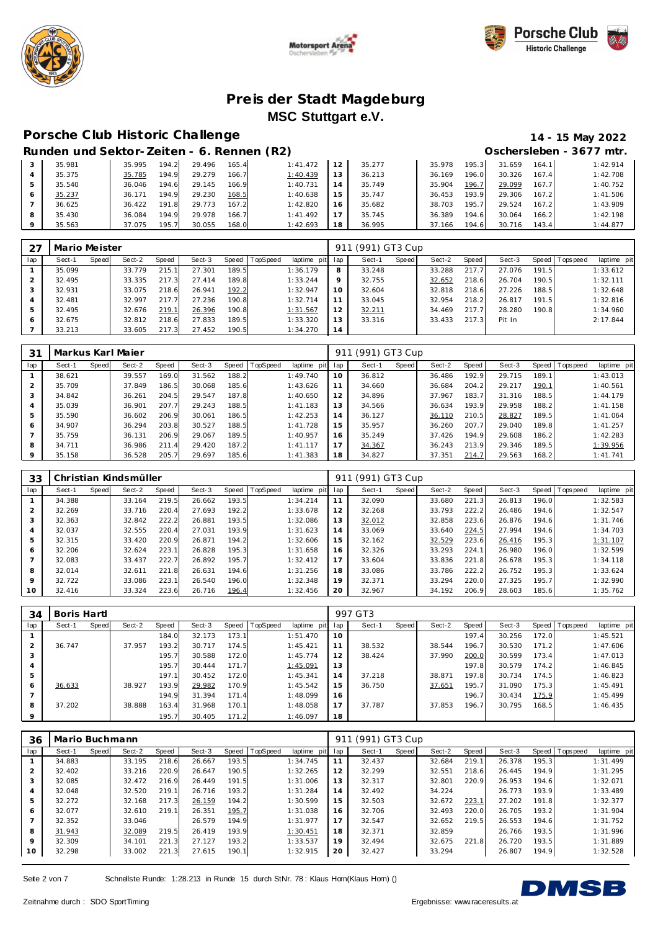







#### **Porsche C lub Historic Challenge 14 - 15 May 2022**

|   | Runden und Sektor-Zeiten - 6. Rennen (R2) |        |       |        |       |          |    |        |        |       |        |       | Oschersleben - 3677 mtr. |
|---|-------------------------------------------|--------|-------|--------|-------|----------|----|--------|--------|-------|--------|-------|--------------------------|
|   | 35.981                                    | 35.995 | 194.2 | 29.496 | 165.4 | 1:41.472 | 12 | 35.277 | 35.978 | 195.3 | 31.659 | 164.1 | 1:42.914                 |
|   | 35.375                                    | 35.785 | 194.9 | 29.279 | 166.7 | 1:40.439 | 13 | 36.213 | 36.169 | 196.0 | 30.326 | 167.4 | 1:42.708                 |
|   | 35.540                                    | 36.046 | 194.6 | 29.145 | 166.9 | 1:40.731 |    | 35.749 | 35.904 | 196.7 | 29.099 | 167.7 | 1:40.752                 |
| 6 | 35.237                                    | 36.171 | 194.9 | 29.230 | 168.5 | 1:40.638 | 15 | 35.747 | 36.453 | 193.9 | 29.306 | 167.2 | 1:41.506                 |
|   | 36.625                                    | 36.422 | 191.8 | 29.773 | 167.2 | 1:42.820 | 16 | 35.682 | 38.703 | 195.7 | 29.524 | 167.2 | 1:43.909                 |
| 8 | 35.430                                    | 36.084 | 194.9 | 29.978 | 166.7 | 1:41.492 |    | 35.745 | 36.389 | 194.6 | 30.064 | 166.2 | 1:42.198                 |
|   | 35.563                                    | 37.075 | 195.7 | 30.055 | 168.0 | 1:42.693 | 18 | 36.995 | 37.166 | 194.6 | 30.716 | 143.4 | 1:44.877                 |

| 27  | Mario Meister |       |        |       |        |       |                |             |     | 911 (991) GT3 Cup |       |        |       |        |       |                 |             |
|-----|---------------|-------|--------|-------|--------|-------|----------------|-------------|-----|-------------------|-------|--------|-------|--------|-------|-----------------|-------------|
| lap | Sect-1        | Speed | Sect-2 | Speed | Sect-3 |       | Speed TopSpeed | laptime pit | lap | Sect-1            | Speed | Sect-2 | Speed | Sect-3 |       | Speed Tops peed | laptime pit |
|     | 35.099        |       | 33.779 | 215.1 | 27.301 | 189.5 |                | 1:36.179    | 8   | 33.248            |       | 33.288 | 217.7 | 27.076 | 191.5 |                 | 1:33.612    |
|     | 32.495        |       | 33.335 | 217.3 | 27.414 | 189.8 |                | 1:33.244    | 9   | 32.755            |       | 32.652 | 218.6 | 26.704 | 190.5 |                 | 1:32.111    |
|     | 32.931        |       | 33.075 | 218.6 | 26.941 | 192.2 |                | 1:32.947    | 10  | 32.604            |       | 32.818 | 218.6 | 27.226 | 188.5 |                 | 1:32.648    |
| 4   | 32.481        |       | 32.997 | 217.7 | 27.236 | 190.8 |                | 1:32.714    | 11  | 33.045            |       | 32.954 | 218.2 | 26.817 | 191.5 |                 | 1:32.816    |
| 5   | 32.495        |       | 32.676 | 219.1 | 26.396 | 190.8 |                | 1:31.567    | 12  | 32.211            |       | 34.469 | 217.7 | 28.280 | 190.8 |                 | 1:34.960    |
| 6   | 32.675        |       | 32.812 | 218.6 | 27.833 | 189.5 |                | 1:33.320    | 13  | 33.316            |       | 33.433 | 217.3 | Pit In |       |                 | 2:17.844    |
|     | 33.213        |       | 33.605 | 217.3 | 27.452 | 190.5 |                | 1:34.270    | 14  |                   |       |        |       |        |       |                 |             |

| 31          |        |       | Markus Karl Majer |       |        |       |          |             | 91  | (991) GT3 Cup |       |        |         |        |       |           |             |
|-------------|--------|-------|-------------------|-------|--------|-------|----------|-------------|-----|---------------|-------|--------|---------|--------|-------|-----------|-------------|
| lap         | Sect-1 | Speed | Sect-2            | Speed | Sect-3 | Speed | TopSpeed | laptime pit | lap | Sect-1        | Speed | Sect-2 | Speed I | Sect-3 | Speed | Tops peed | laptime pit |
|             | 38.621 |       | 39.557            | 169.0 | 31.562 | 188.2 |          | 1:49.740    | 10  | 36.812        |       | 36.486 | 192.9   | 29.715 | 189.1 |           | 1:43.013    |
| 2           | 35.709 |       | 37.849            | 186.5 | 30.068 | 185.6 |          | 1:43.626    | 11  | 34.660        |       | 36.684 | 204.2   | 29.217 | 190.1 |           | 1:40.561    |
| 3           | 34.842 |       | 36.261            | 204.5 | 29.547 | 187.8 |          | 1:40.650    | 12  | 34.896        |       | 37.967 | 183.7   | 31.316 | 188.5 |           | 1:44.179    |
| 4           | 35.039 |       | 36.901            | 207.7 | 29.243 | 188.5 |          | 1:41.183    | 13  | 34.566        |       | 36.634 | 193.9   | 29.958 | 188.2 |           | 1:41.158    |
| 5           | 35.590 |       | 36.602            | 206.9 | 30.061 | 186.5 |          | 1:42.253    | 14  | 36.127        |       | 36.110 | 210.5   | 28.827 | 189.5 |           | 1:41.064    |
| 6           | 34.907 |       | 36.294            | 203.8 | 30.527 | 188.5 |          | 1:41.728    | 15  | 35.957        |       | 36.260 | 207.7   | 29.040 | 189.8 |           | 1:41.257    |
|             | 35.759 |       | 36.131            | 206.9 | 29.067 | 189.5 |          | 1:40.957    | 16  | 35.249        |       | 37.426 | 194.9   | 29.608 | 186.2 |           | 1:42.283    |
| 8           | 34.711 |       | 36.986            | 211.4 | 29.420 | 187.2 |          | 1: 41.117   | 17  | 34.367        |       | 36.243 | 213.9   | 29.346 | 189.5 |           | 1:39.956    |
| $\mathsf Q$ | 35.158 |       | 36.528            | 205.7 | 29.697 | 185.6 |          | 1:41.383    | 18  | 34.827        |       | 37.351 | 214.7   | 29.563 | 168.2 |           | 1: 41.741   |

| 33             |        |       | Christian Kindsmüller |       |        |       |                |                 | 911 | (991) GT3 Cup |       |        |       |        |       |                |             |
|----------------|--------|-------|-----------------------|-------|--------|-------|----------------|-----------------|-----|---------------|-------|--------|-------|--------|-------|----------------|-------------|
| lap            | Sect-1 | Speed | Sect-2                | Speed | Sect-3 |       | Speed TopSpeed | laptime<br>pitl | lap | Sect-1        | Speed | Sect-2 | Speed | Sect-3 |       | Speed Topspeed | laptime pit |
|                | 34.388 |       | 33.164                | 219.5 | 26.662 | 193.5 |                | 1:34.214        | 11  | 32.090        |       | 33.680 | 221.3 | 26.813 | 196.0 |                | 1:32.583    |
| $\overline{2}$ | 32.269 |       | 33.716                | 220.4 | 27.693 | 192.2 |                | 1:33.678        | 12  | 32.268        |       | 33.793 | 222.2 | 26.486 | 194.6 |                | 1:32.547    |
| 3              | 32.363 |       | 32.842                | 222.2 | 26.881 | 193.5 |                | 1:32.086        | 13  | 32.012        |       | 32.858 | 223.6 | 26.876 | 194.6 |                | 1:31.746    |
| 4              | 32.037 |       | 32.555                | 220.4 | 27.031 | 193.9 |                | 1:31.623        | 14  | 33.069        |       | 33.640 | 224.5 | 27.994 | 194.6 |                | 1:34.703    |
| 5              | 32.315 |       | 33.420                | 220.9 | 26.871 | 194.2 |                | 1:32.606        | 15  | 32.162        |       | 32.529 | 223.6 | 26.416 | 195.3 |                | 1:31.107    |
| 6              | 32.206 |       | 32.624                | 223.1 | 26.828 | 195.3 |                | 1:31.658        | 16  | 32.326        |       | 33.293 | 224.1 | 26.980 | 196.0 |                | 1:32.599    |
|                | 32.083 |       | 33.437                | 222.7 | 26.892 | 195.7 |                | 1:32.412        | 17  | 33.604        |       | 33.836 | 221.8 | 26.678 | 195.3 |                | 1:34.118    |
| 8              | 32.014 |       | 32.611                | 221.8 | 26.631 | 194.6 |                | 1:31.256        | 18  | 33.086        |       | 33.786 | 222.2 | 26.752 | 195.3 |                | 1:33.624    |
| 9              | 32.722 |       | 33.086                | 223.1 | 26.540 | 196.0 |                | 1:32.348        | 19  | 32.371        |       | 33.294 | 220.0 | 27.325 | 195.7 |                | 1:32.990    |
| 10             | 32.416 |       | 33.324                | 223.6 | 26.716 | 196.4 |                | 1:32.456        | 20  | 32.967        |       | 34.192 | 206.9 | 28.603 | 185.6 |                | 1:35.762    |

| 34      | Boris Hartl |       |        |       |        |       |          |             |             | 997 GT3 |       |        |       |        |       |                   |             |
|---------|-------------|-------|--------|-------|--------|-------|----------|-------------|-------------|---------|-------|--------|-------|--------|-------|-------------------|-------------|
| lap     | Sect-1      | Speed | Sect-2 | Speed | Sect-3 | Speed | TopSpeed | laptime pit | lap         | Sect-1  | Speed | Sect-2 | Speed | Sect-3 |       | Speed   Tops peed | laptime pit |
|         |             |       |        | 184.0 | 32.173 | 173.1 |          | 1:51.470    | 10          |         |       |        | 197.4 | 30.256 | 172.0 |                   | 1:45.521    |
|         | 36.747      |       | 37.957 | 193.2 | 30.717 | 174.5 |          | 1:45.421    | 11          | 38.532  |       | 38.544 | 196.7 | 30.530 | 171.2 |                   | 1:47.606    |
| 3       |             |       |        | 195.7 | 30.588 | 172.0 |          | 1:45.774    | 12          | 38.424  |       | 37.990 | 200.0 | 30.599 | 173.4 |                   | 1:47.013    |
| 4       |             |       |        | 195.7 | 30.444 | 171.7 |          | 1:45.091    | 13          |         |       |        | 197.8 | 30.579 | 174.2 |                   | 1:46.845    |
| 5       |             |       |        | 197.1 | 30.452 | 172.0 |          | 1:45.341    | 14          | 37.218  |       | 38.871 | 197.8 | 30.734 | 174.5 |                   | 1:46.823    |
| 6       | 36.633      |       | 38.927 | 193.9 | 29.982 | 170.9 |          | 1:45.542    | 15          | 36.750  |       | 37.651 | 195.7 | 31.090 | 175.3 |                   | 1:45.491    |
|         |             |       |        | 194.9 | 31.394 | 171.4 |          | 1:48.099    | 16          |         |       |        | 196.7 | 30.434 | 175.9 |                   | 1:45.499    |
| 8       | 37.202      |       | 38.888 | 163.4 | 31.968 | 170.1 |          | 1:48.058    | $7^{\circ}$ | 37.787  |       | 37.853 | 196.7 | 30.795 | 168.5 |                   | 1:46.435    |
| $\circ$ |             |       |        | 195.7 | 30.405 | 171.2 |          | 1:46.097    | 18          |         |       |        |       |        |       |                   |             |

| 36  | Mario Buchmann |       |        |       |        |       |          |             | 911 | (991) GT3 Cup |       |        |       |        |       |                   |             |
|-----|----------------|-------|--------|-------|--------|-------|----------|-------------|-----|---------------|-------|--------|-------|--------|-------|-------------------|-------------|
| lap | Sect-1         | Speed | Sect-2 | Speed | Sect-3 | Speed | TopSpeed | laptime pit | lap | Sect-1        | Speed | Sect-2 | Speed | Sect-3 |       | Speed   Tops peed | laptime pit |
|     | 34.883         |       | 33.195 | 218.6 | 26.667 | 193.5 |          | 1:34.745    | 11  | 32.437        |       | 32.684 | 219.1 | 26.378 | 195.3 |                   | 1:31.499    |
| 2   | 32.402         |       | 33.216 | 220.9 | 26.647 | 190.5 |          | 1:32.265    | 12  | 32.299        |       | 32.551 | 218.6 | 26.445 | 194.9 |                   | 1:31.295    |
| 3   | 32.085         |       | 32.472 | 216.9 | 26.449 | 191.5 |          | 1:31.006    | 13  | 32.317        |       | 32.801 | 220.9 | 26.953 | 194.6 |                   | 1:32.071    |
| 4   | 32.048         |       | 32.520 | 219.1 | 26.716 | 193.2 |          | 1:31.284    | 14  | 32.492        |       | 34.224 |       | 26.773 | 193.9 |                   | 1:33.489    |
| 5   | 32.272         |       | 32.168 | 217.3 | 26.159 | 194.2 |          | 1:30.599    | 15  | 32.503        |       | 32.672 | 223.1 | 27.202 | 191.8 |                   | 1:32.377    |
| 6   | 32.077         |       | 32.610 | 219.1 | 26.351 | 195.7 |          | 1:31.038    | 16  | 32.706        |       | 32.493 | 220.0 | 26.705 | 193.2 |                   | 1:31.904    |
| 7   | 32.352         |       | 33.046 |       | 26.579 | 194.9 |          | 1:31.977    | 17  | 32.547        |       | 32.652 | 219.5 | 26.553 | 194.6 |                   | 1:31.752    |
| 8   | 31.943         |       | 32.089 | 219.5 | 26.419 | 193.9 |          | 1:30.451    | 18  | 32.371        |       | 32.859 |       | 26.766 | 193.5 |                   | 1:31.996    |
| 9   | 32.309         |       | 34.101 | 221.3 | 27.127 | 193.2 |          | 1:33.537    | 19  | 32.494        |       | 32.675 | 221.8 | 26.720 | 193.5 |                   | 1:31.889    |
| 10  | 32.298         |       | 33.002 | 221.3 | 27.615 | 190.1 |          | 1:32.915    | 20  | 32.427        |       | 33.294 |       | 26.807 | 194.9 |                   | 1:32.528    |

Seite 2 von 7 Schnellste Runde: 1:28.213 in Runde 15 durch StNr. 78: Klaus Horn(Klaus Horn) ()

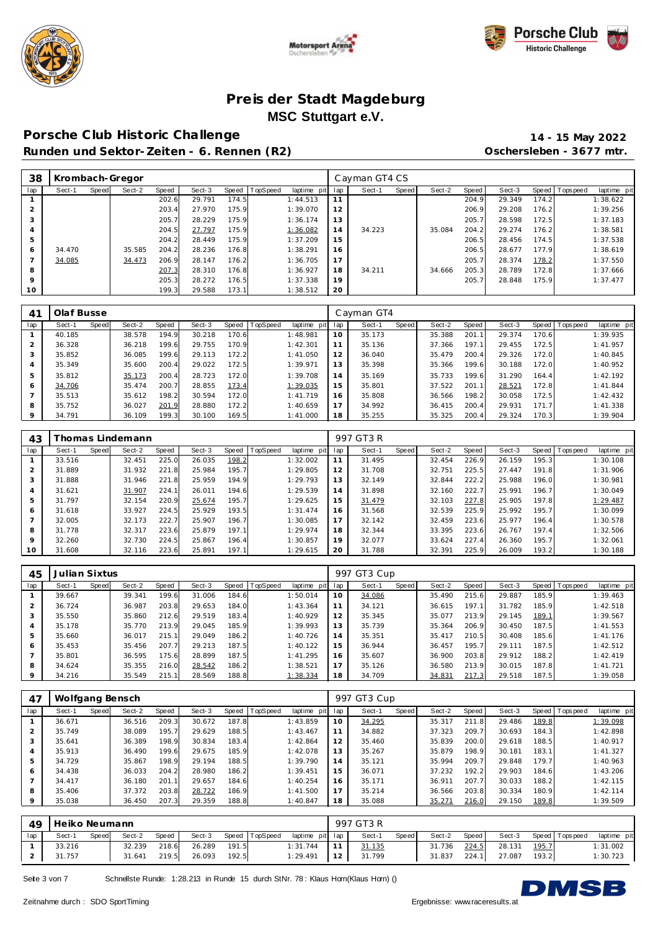





**Porsche C lub Historic Challenge 14 - 15 May 2022 Runden und Sektor-Zeiten - 6. Rennen (R2) Oschersleben - 3677 mtr.**

| 38      |        |       | Krombach-Gregor |       |        |       |          |             |     | Cayman GT4 CS |       |        |       |        |       |           |             |
|---------|--------|-------|-----------------|-------|--------|-------|----------|-------------|-----|---------------|-------|--------|-------|--------|-------|-----------|-------------|
| lap     | Sect-1 | Speed | Sect-2          | Speed | Sect-3 | Speed | TopSpeed | laptime pit | lap | Sect-1        | Speed | Sect-2 | Speed | Sect-3 | Speed | Tops peed | laptime pit |
|         |        |       |                 | 202.6 | 29.791 | 174.5 |          | 1:44.513    | 11  |               |       |        | 204.9 | 29.349 | 174.2 |           | 1:38.622    |
|         |        |       |                 | 203.4 | 27.970 | 175.9 |          | 1:39.070    | 12  |               |       |        | 206.9 | 29.208 | 176.2 |           | 1:39.256    |
|         |        |       |                 | 205.7 | 28.229 | 175.9 |          | 1:36.174    | 13  |               |       |        | 205.7 | 28.598 | 172.5 |           | 1:37.183    |
|         |        |       |                 | 204.5 | 27.797 | 175.9 |          | 1:36.082    | 14  | 34.223        |       | 35.084 | 204.2 | 29.274 | 176.2 |           | 1:38.581    |
|         |        |       |                 | 204.2 | 28.449 | 175.9 |          | 1:37.209    | 15  |               |       |        | 206.5 | 28.456 | 174.5 |           | 1:37.538    |
| 6       | 34.470 |       | 35.585          | 204.2 | 28.236 | 176.8 |          | 1:38.291    | 16  |               |       |        | 206.5 | 28.677 | 177.9 |           | 1:38.619    |
|         | 34.085 |       | 34.473          | 206.9 | 28.147 | 176.2 |          | 1:36.705    | 17  |               |       |        | 205.7 | 28.374 | 178.2 |           | 1:37.550    |
| 8       |        |       |                 | 207.3 | 28.310 | 176.8 |          | 1:36.927    | 18  | 34.211        |       | 34.666 | 205.3 | 28.789 | 172.8 |           | 1:37.666    |
| $\circ$ |        |       |                 | 205.3 | 28.272 | 176.5 |          | 1:37.338    | 19  |               |       |        | 205.7 | 28.848 | 175.9 |           | 1:37.477    |
| 10      |        |       |                 | 199.3 | 29.588 | 173.1 |          | 1:38.512    | 20  |               |       |        |       |        |       |           |             |

| 41             | Olaf Busse |       |        |       |        |       |                 |                |     | Cayman GT4 |       |        |       |        |       |                |             |
|----------------|------------|-------|--------|-------|--------|-------|-----------------|----------------|-----|------------|-------|--------|-------|--------|-------|----------------|-------------|
| lap            | Sect-1     | Speed | Sect-2 | Speed | Sect-3 | Speed | <b>TopSpeed</b> | laptime<br>pit | lap | Sect-1     | Speed | Sect-2 | Speed | Sect-3 |       | Speed Topspeed | laptime pit |
|                | 40.185     |       | 38.578 | 194.9 | 30.218 | 170.6 |                 | 1:48.981       | 10  | 35.173     |       | 35.388 | 201.1 | 29.374 | 170.6 |                | 1:39.935    |
| $\overline{2}$ | 36.328     |       | 36.218 | 199.6 | 29.755 | 170.9 |                 | 1:42.301       |     | 35.136     |       | 37.366 | 197.1 | 29.455 | 172.5 |                | 1:41.957    |
| 3              | 35.852     |       | 36.085 | 199.6 | 29.113 | 172.2 |                 | 1:41.050       | 12  | 36.040     |       | 35.479 | 200.4 | 29.326 | 172.0 |                | 1:40.845    |
| $\overline{4}$ | 35.349     |       | 35.600 | 200.4 | 29.022 | 172.5 |                 | 1:39.971       | 13  | 35.398     |       | 35.366 | 199.6 | 30.188 | 172.0 |                | 1:40.952    |
| 5              | 35.812     |       | 35.173 | 200.4 | 28.723 | 172.0 |                 | 1:39.708       | 14  | 35.169     |       | 35.733 | 199.6 | 31.290 | 164.4 |                | 1:42.192    |
| 6              | 34.706     |       | 35.474 | 200.7 | 28.855 | 173.4 |                 | 1:39.035       | 15  | 35.801     |       | 37.522 | 201.1 | 28.521 | 172.8 |                | 1:41.844    |
|                | 35.513     |       | 35.612 | 198.2 | 30.594 | 172.0 |                 | 1:41.719       | 16  | 35.808     |       | 36.566 | 198.2 | 30.058 | 172.5 |                | 1:42.432    |
| 8              | 35.752     |       | 36.027 | 201.9 | 28.880 | 172.2 |                 | 1:40.659       | 17  | 34.992     |       | 36.415 | 200.4 | 29.931 | 171.7 |                | 1:41.338    |
| 9              | 34.791     |       | 36.109 | 199.3 | 30.100 | 169.5 |                 | 1:41.000       | 18  | 35.255     |       | 35.325 | 200.4 | 29.324 | 170.3 |                | 1:39.904    |

| 43             |        |       | homas Lindemann |       |        |       |                 |             |     | 997 GT3 R |       |        |       |        |       |                   |             |
|----------------|--------|-------|-----------------|-------|--------|-------|-----------------|-------------|-----|-----------|-------|--------|-------|--------|-------|-------------------|-------------|
| lap            | Sect-1 | Speed | Sect-2          | Speed | Sect-3 | Speed | <b>TopSpeed</b> | laptime pit | lap | Sect-1    | Speed | Sect-2 | Speed | Sect-3 |       | Speed   Tops peed | laptime pit |
|                | 33.516 |       | 32.451          | 225.0 | 26.035 | 198.2 |                 | 1:32.002    |     | 31.495    |       | 32.454 | 226.9 | 26.159 | 195.3 |                   | 1:30.108    |
| $\overline{2}$ | 31.889 |       | 31.932          | 221.8 | 25.984 | 195.7 |                 | 1:29.805    | 12  | 31.708    |       | 32.751 | 225.5 | 27.447 | 191.8 |                   | 1:31.906    |
| 3              | 31.888 |       | 31.946          | 221.8 | 25.959 | 194.9 |                 | 1:29.793    | 13  | 32.149    |       | 32.844 | 222.2 | 25.988 | 196.0 |                   | 1:30.981    |
| $\overline{4}$ | 31.621 |       | 31.907          | 224.1 | 26.011 | 194.6 |                 | 1:29.539    | 14  | 31.898    |       | 32.160 | 222.7 | 25.991 | 196.7 |                   | 1:30.049    |
| 5              | 31.797 |       | 32.154          | 220.9 | 25.674 | 195.7 |                 | 1:29.625    | 15  | 31.479    |       | 32.103 | 227.8 | 25.905 | 197.8 |                   | 1:29.487    |
| 6              | 31.618 |       | 33.927          | 224.5 | 25.929 | 193.5 |                 | 1:31.474    | 16  | 31.568    |       | 32.539 | 225.9 | 25.992 | 195.7 |                   | 1:30.099    |
|                | 32.005 |       | 32.173          | 222.7 | 25.907 | 196.7 |                 | 1:30.085    | 17  | 32.142    |       | 32.459 | 223.6 | 25.977 | 196.4 |                   | 1:30.578    |
| 8              | 31.778 |       | 32.317          | 223.6 | 25.879 | 197.1 |                 | 1:29.974    | 18  | 32.344    |       | 33.395 | 223.6 | 26.767 | 197.4 |                   | 1:32.506    |
| $\circ$        | 32.260 |       | 32.730          | 224.5 | 25.867 | 196.4 |                 | 1:30.857    | 19  | 32.077    |       | 33.624 | 227.4 | 26.360 | 195.7 |                   | 1:32.061    |
| 10             | 31.608 |       | 32.116          | 223.6 | 25.891 | 197.1 |                 | 1:29.615    | 20  | 31.788    |       | 32.391 | 225.9 | 26.009 | 193.2 |                   | 1:30.188    |

| 45      | Julian Sixtus |       |        |       |        |       |          |                 |    | 997 GT3 Cup |       |        |         |        |       |                 |             |
|---------|---------------|-------|--------|-------|--------|-------|----------|-----------------|----|-------------|-------|--------|---------|--------|-------|-----------------|-------------|
| lap     | Sect-1        | Speed | Sect-2 | Speed | Sect-3 | Speed | TopSpeed | laptime pit lap |    | Sect-1      | Speed | Sect-2 | Speed ' | Sect-3 |       | Speed Tops peed | laptime pit |
|         | 39.667        |       | 39.341 | 199.6 | 31.006 | 184.6 |          | 1:50.014        | 10 | 34.086      |       | 35.490 | 215.6   | 29.887 | 185.9 |                 | 1:39.463    |
|         | 36.724        |       | 36.987 | 203.8 | 29.653 | 184.0 |          | 1:43.364        | 11 | 34.121      |       | 36.615 | 197.1   | 31.782 | 185.9 |                 | 1:42.518    |
|         | 35.550        |       | 35.860 | 212.6 | 29.519 | 183.4 |          | 1:40.929        | 12 | 35.345      |       | 35.077 | 213.9   | 29.145 | 189.1 |                 | 1:39.567    |
|         | 35.178        |       | 35.770 | 213.9 | 29.045 | 185.9 |          | 1:39.993        | 13 | 35.739      |       | 35.364 | 206.9   | 30.450 | 187.5 |                 | 1:41.553    |
|         | 35.660        |       | 36.017 | 215.1 | 29.049 | 186.2 |          | 1:40.726        | 14 | 35.351      |       | 35.417 | 210.5   | 30.408 | 185.6 |                 | 1:41.176    |
| 6       | 35.453        |       | 35.456 | 207.7 | 29.213 | 187.5 |          | 1:40.122        | 15 | 36.944      |       | 36.457 | 195.7   | 29.111 | 187.5 |                 | 1:42.512    |
|         | 35.801        |       | 36.595 | 175.6 | 28.899 | 187.5 |          | 1:41.295        | 16 | 35.607      |       | 36.900 | 203.8   | 29.912 | 188.2 |                 | 1:42.419    |
| 8       | 34.624        |       | 35.355 | 216.0 | 28.542 | 186.2 |          | 1:38.521        | 17 | 35.126      |       | 36.580 | 213.9   | 30.015 | 187.8 |                 | 1:41.721    |
| $\circ$ | 34.216        |       | 35.549 | 215.1 | 28.569 | 188.8 |          | 1:38.334        | 18 | 34.709      |       | 34.831 | 217.3   | 29.518 | 187.5 |                 | 1:39.058    |

| 47        | Wolfgang Bensch |       |        |       |        |       |          |                |     | 997 GT3 Cup |       |        |       |        |       |                   |             |
|-----------|-----------------|-------|--------|-------|--------|-------|----------|----------------|-----|-------------|-------|--------|-------|--------|-------|-------------------|-------------|
| lap       | Sect-1          | Speed | Sect-2 | Speed | Sect-3 | Speed | TopSpeed | laptime<br>pit | lap | Sect-1      | Speed | Sect-2 | Speed | Sect-3 |       | Speed   Tops peed | laptime pit |
|           | 36.671          |       | 36.516 | 209.3 | 30.672 | 187.8 |          | 1:43.859       | 10  | 34.295      |       | 35.317 | 211.8 | 29.486 | 189.8 |                   | 1:39.098    |
| $\bigcap$ | 35.749          |       | 38.089 | 195.7 | 29.629 | 188.5 |          | 1:43.467       | 11  | 34.882      |       | 37.323 | 209.7 | 30.693 | 184.3 |                   | 1:42.898    |
| 3         | 35.641          |       | 36.389 | 198.9 | 30.834 | 183.4 |          | 1:42.864       | 12  | 35.460      |       | 35.839 | 200.0 | 29.618 | 188.5 |                   | 1:40.917    |
| 4         | 35.913          |       | 36.490 | 199.6 | 29.675 | 185.9 |          | 1:42.078       | 13  | 35.267      |       | 35.879 | 198.9 | 30.181 | 183.1 |                   | 1:41.327    |
| ь         | 34.729          |       | 35.867 | 198.9 | 29.194 | 188.5 |          | 1:39.790       | 14  | 35.121      |       | 35.994 | 209.7 | 29.848 | 179.7 |                   | 1:40.963    |
| O         | 34.438          |       | 36.033 | 204.2 | 28.980 | 186.2 |          | 1:39.451       | 15  | 36.071      |       | 37.232 | 192.2 | 29.903 | 184.6 |                   | 1:43.206    |
|           | 34.417          |       | 36.180 | 201.1 | 29.657 | 184.6 |          | 1:40.254       | 16  | 35.171      |       | 36.911 | 207.7 | 30.033 | 188.2 |                   | 1:42.115    |
| 8         | 35.406          |       | 37.372 | 203.8 | 28.722 | 186.9 |          | 1:41.500       | 17  | 35.214      |       | 36.566 | 203.8 | 30.334 | 180.9 |                   | 1:42.114    |
| $\circ$   | 35.038          |       | 36.450 | 207.3 | 29.359 | 188.8 |          | 1:40.847       | 18  | 35.088      |       | 35.271 | 216.0 | 29.150 | 189.8 |                   | 1:39.509    |

| 49 | Heiko Neumann |       |        |       |        |       |                |                 |                 | 997 GT3 R |       |        |       |        |       |                   |             |
|----|---------------|-------|--------|-------|--------|-------|----------------|-----------------|-----------------|-----------|-------|--------|-------|--------|-------|-------------------|-------------|
| 1a | Sect-1        | Speed | Sect-2 | Speed | Sect-3 |       | Speed TopSpeed | laptime pit lap |                 | Sect-1    | Speed | Sect-2 | Speed | Sect-3 |       | Speed   Tops peed | laptime pit |
|    | 33.216        |       | 32.239 | 218.6 | 26.289 | 191.5 |                | 1:31.744        | 11 <sub>1</sub> | 31.135    |       | 31.736 | 224.5 | 28.131 | 195.7 |                   | 1:31.002    |
|    | 31.757        |       | 31.641 | 219.5 | 26.093 | 192.5 |                | 1:29.491        | 12              | 31.799    |       | 31.837 | 224.1 | 27.087 | 193.2 |                   | 1:30.723    |

Seite 3 von 7 Schnellste Runde: 1:28.213 in Runde 15 durch StNr. 78: Klaus Horn(Klaus Horn) ()

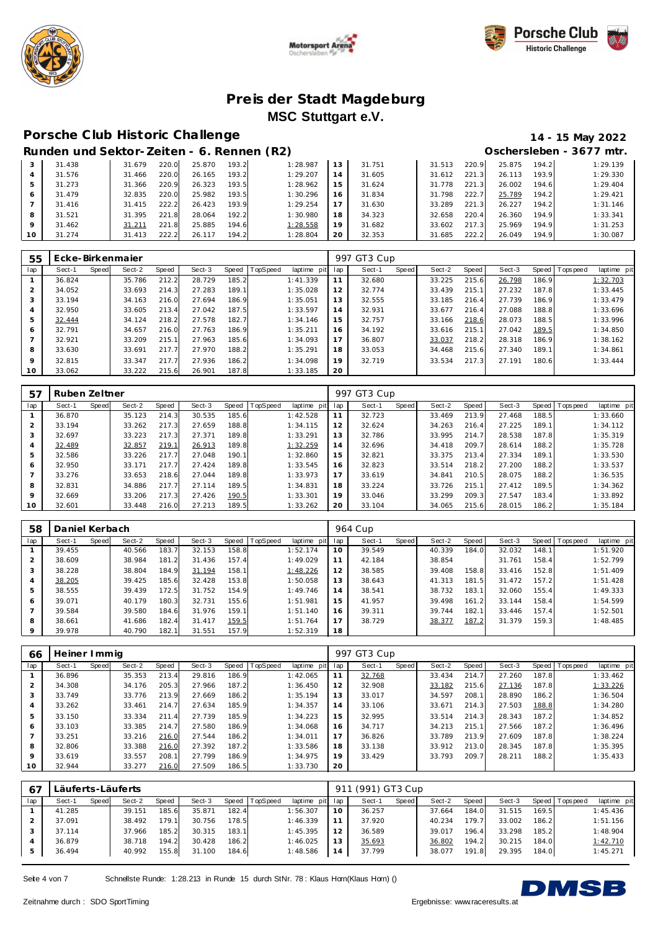





# **Porsche C lub Historic Challenge 14 - 15 May 2022**

|    | Runden und Sektor-Zeiten - 6. Rennen (R2) |        |       |        |       |          |                |        |        |       |        |       | Oschersleben - 3677 mtr. |
|----|-------------------------------------------|--------|-------|--------|-------|----------|----------------|--------|--------|-------|--------|-------|--------------------------|
| 3  | 31.438                                    | 31.679 | 220.0 | 25.870 | 193.2 | 1:28.987 | 13             | 31.751 | 31.513 | 220.9 | 25.875 | 194.2 | 1:29.139                 |
|    | 31.576                                    | 31.466 | 220.0 | 26.165 | 193.2 | 1:29.207 | 4              | 31.605 | 31.612 | 221.3 | 26.113 | 193.9 | 1:29.330                 |
| 5  | 31.273                                    | 31.366 | 220.9 | 26.323 | 193.5 | 1:28.962 | 5              | 31.624 | 31.778 | 221.3 | 26.002 | 194.6 | 1:29.404                 |
| 6  | 31.479                                    | 32.835 | 220.0 | 25.982 | 193.5 | 1:30.296 | $\overline{6}$ | 31.834 | 31.798 | 222.7 | 25.789 | 194.2 | 1:29.421                 |
|    | 31.416                                    | 31.415 | 222.2 | 26.423 | 193.9 | 1:29.254 |                | 31.630 | 33.289 | 221.3 | 26.227 | 194.2 | 1:31.146                 |
| 8  | 31.521                                    | 31.395 | 221.8 | 28.064 | 192.2 | 1:30.980 | 18             | 34.323 | 32.658 | 220.4 | 26.360 | 194.9 | 1:33.341                 |
| 9  | 31.462                                    | 31.211 | 221.8 | 25.885 | 194.6 | 1:28.558 | 19             | 31.682 | 33.602 | 217.3 | 25.969 | 194.9 | 1:31.253                 |
| 10 | 31.274                                    | 31.413 | 222.2 | 26.117 | 194.2 | 1:28.804 | 20             | 32.353 | 31.685 | 222.2 | 26.049 | 194.9 | 1:30.087                 |

| 55  |        |       | Ecke-Birkenmajer |       |        |       |                 |                |     | 997 GT3 Cup |       |        |       |        |       |                   |             |
|-----|--------|-------|------------------|-------|--------|-------|-----------------|----------------|-----|-------------|-------|--------|-------|--------|-------|-------------------|-------------|
| lap | Sect-1 | Speed | Sect-2           | Speed | Sect-3 | Speed | <b>TopSpeed</b> | laptime<br>pit | lap | Sect-1      | Speed | Sect-2 | Speed | Sect-3 |       | Speed   Tops peed | laptime pit |
|     | 36.824 |       | 35.786           | 212.2 | 28.729 | 185.2 |                 | 1:41.339       |     | 32.680      |       | 33.225 | 215.6 | 26.798 | 186.9 |                   | 1:32.703    |
|     | 34.052 |       | 33.693           | 214.3 | 27.283 | 189.1 |                 | 1:35.028       | 12  | 32.774      |       | 33.439 | 215.1 | 27.232 | 187.8 |                   | 1:33.445    |
| 3   | 33.194 |       | 34.163           | 216.0 | 27.694 | 186.9 |                 | 1:35.051       | 13  | 32.555      |       | 33.185 | 216.4 | 27.739 | 186.9 |                   | 1:33.479    |
| 4   | 32.950 |       | 33.605           | 213.4 | 27.042 | 187.5 |                 | 1:33.597       | 14  | 32.931      |       | 33.677 | 216.4 | 27.088 | 188.8 |                   | 1:33.696    |
| 5   | 32.444 |       | 34.124           | 218.2 | 27.578 | 182.7 |                 | 1:34.146       | 15  | 32.757      |       | 33.166 | 218.6 | 28.073 | 188.5 |                   | 1:33.996    |
| 6   | 32.791 |       | 34.657           | 216.0 | 27.763 | 186.9 |                 | 1:35.211       | 16  | 34.192      |       | 33.616 | 215.1 | 27.042 | 189.5 |                   | 1:34.850    |
|     | 32.921 |       | 33.209           | 215.1 | 27.963 | 185.6 |                 | 1:34.093       | 17  | 36.807      |       | 33.037 | 218.2 | 28.318 | 186.9 |                   | 1:38.162    |
| 8   | 33.630 |       | 33.691           | 217.7 | 27.970 | 188.2 |                 | 1:35.291       | 18  | 33.053      |       | 34.468 | 215.6 | 27.340 | 189.1 |                   | 1:34.861    |
| 9   | 32.815 |       | 33.347           | 217.7 | 27.936 | 186.2 |                 | 1:34.098       | 19  | 32.719      |       | 33.534 | 217.3 | 27.191 | 180.6 |                   | 1:33.444    |
| 10  | 33.062 |       | 33.222           | 215.6 | 26.901 | 187.8 |                 | 1:33.185       | 20  |             |       |        |       |        |       |                   |             |

| 57  | Ruben Zeltner |       |        |       |        |       |          |                |     | 997 GT3 Cup |       |        |       |        |       |          |             |
|-----|---------------|-------|--------|-------|--------|-------|----------|----------------|-----|-------------|-------|--------|-------|--------|-------|----------|-------------|
| lap | Sect-1        | Speed | Sect-2 | Speed | Sect-3 | Speed | TopSpeed | laptime<br>pit | lap | Sect-1      | Speed | Sect-2 | Speed | Sect-3 | Speed | Topspeed | laptime pit |
|     | 36.870        |       | 35.123 | 214.3 | 30.535 | 185.6 |          | 1:42.528       | 11  | 32.723      |       | 33.469 | 213.9 | 27.468 | 188.5 |          | 1:33.660    |
|     | 33.194        |       | 33.262 | 217.3 | 27.659 | 188.8 |          | 1:34.115       | 12  | 32.624      |       | 34.263 | 216.4 | 27.225 | 189.1 |          | 1:34.112    |
| 3   | 32.697        |       | 33.223 | 217.3 | 27.371 | 189.8 |          | 1:33.291       | 13  | 32.786      |       | 33.995 | 214.7 | 28.538 | 187.8 |          | 1:35.319    |
| 4   | 32.489        |       | 32.857 | 219.1 | 26.913 | 189.8 |          | 1:32.259       | 14  | 32.696      |       | 34.418 | 209.7 | 28.614 | 188.2 |          | 1:35.728    |
| 5   | 32.586        |       | 33.226 | 217.7 | 27.048 | 190.1 |          | 1:32.860       | 15  | 32.821      |       | 33.375 | 213.4 | 27.334 | 189.1 |          | 1:33.530    |
| 6   | 32.950        |       | 33.171 | 217.7 | 27.424 | 189.8 |          | 1:33.545       | 16  | 32.823      |       | 33.514 | 218.2 | 27.200 | 188.2 |          | 1:33.537    |
|     | 33.276        |       | 33.653 | 218.6 | 27.044 | 189.8 |          | 1:33.973       | 17  | 33.619      |       | 34.841 | 210.5 | 28.075 | 188.2 |          | 1:36.535    |
| 8   | 32.831        |       | 34.886 | 217.7 | 27.114 | 189.5 |          | 1:34.831       | 18  | 33.224      |       | 33.726 | 215.1 | 27.412 | 189.5 |          | 1:34.362    |
| 9   | 32.669        |       | 33.206 | 217.3 | 27.426 | 190.5 |          | 1:33.301       | 19  | 33.046      |       | 33.299 | 209.3 | 27.547 | 183.4 |          | 1:33.892    |
| 10  | 32.601        |       | 33.448 | 216.0 | 27.213 | 189.5 |          | 1:33.262       | 20  | 33.104      |       | 34.065 | 215.6 | 28.015 | 186.2 |          | 1:35.184    |

| 58             | Daniel Kerbach |       |        |       |        |       |          |             |     | 964 Cup |       |        |       |        |       |           |             |
|----------------|----------------|-------|--------|-------|--------|-------|----------|-------------|-----|---------|-------|--------|-------|--------|-------|-----------|-------------|
| lap            | Sect-1         | Speed | Sect-2 | Speed | Sect-3 | Speed | TopSpeed | laptime pit | lap | Sect-1  | Speed | Sect-2 | Speed | Sect-3 | Speed | Tops peed | laptime pit |
|                | 39.455         |       | 40.566 | 183.7 | 32.153 | 158.8 |          | 1:52.174    | 10  | 39.549  |       | 40.339 | 184.0 | 32.032 | 148.1 |           | 1:51.920    |
| $\overline{2}$ | 38.609         |       | 38.984 | 181.2 | 31.436 | 157.4 |          | 1:49.029    | 11  | 42.184  |       | 38.854 |       | 31.761 | 158.4 |           | 1:52.799    |
| 3              | 38.228         |       | 38.804 | 184.9 | 31.194 | 158.1 |          | 1:48.226    | 12  | 38.585  |       | 39.408 | 158.8 | 33.416 | 152.8 |           | 1:51.409    |
| $\overline{4}$ | 38.205         |       | 39.425 | 185.6 | 32.428 | 153.8 |          | 1:50.058    | 13  | 38.643  |       | 41.313 | 181.5 | 31.472 | 157.2 |           | 1:51.428    |
| 5              | 38.555         |       | 39.439 | 172.5 | 31.752 | 154.9 |          | 1:49.746    | 14  | 38.541  |       | 38.732 | 183.1 | 32.060 | 155.4 |           | 1:49.333    |
| 6              | 39.071         |       | 40.179 | 180.3 | 32.731 | 155.6 |          | 1:51.981    | 15  | 41.957  |       | 39.498 | 161.2 | 33.144 | 158.4 |           | 1:54.599    |
|                | 39.584         |       | 39.580 | 184.6 | 31.976 | 159.1 |          | 1:51.140    | 16  | 39.311  |       | 39.744 | 182.7 | 33.446 | 157.4 |           | 1:52.501    |
| 8              | 38.661         |       | 41.686 | 182.4 | 31.417 | 159.5 |          | 1:51.764    | 17  | 38.729  |       | 38.377 | 187.2 | 31.379 | 159.3 |           | 1:48.485    |
| $\circ$        | 39.978         |       | 40.790 | 182.1 | 31.551 | 157.9 |          | 1:52.319    | 18  |         |       |        |       |        |       |           |             |

| 66  | Heiner I mmig |       |        |       |        |       |          |             |     | 997 GT3 Cup |       |        |       |        |       |                |             |
|-----|---------------|-------|--------|-------|--------|-------|----------|-------------|-----|-------------|-------|--------|-------|--------|-------|----------------|-------------|
| lap | Sect-1        | Speed | Sect-2 | Speed | Sect-3 | Speed | TopSpeed | laptime pit | lap | Sect-1      | Speed | Sect-2 | Speed | Sect-3 |       | Speed Topspeed | laptime pit |
|     | 36.896        |       | 35.353 | 213.4 | 29.816 | 186.9 |          | 1:42.065    | 11  | 32.768      |       | 33.434 | 214.7 | 27.260 | 187.8 |                | 1:33.462    |
|     | 34.308        |       | 34.176 | 205.3 | 27.966 | 187.2 |          | 1:36.450    | 12  | 32.908      |       | 33.182 | 215.6 | 27.136 | 187.8 |                | 1:33.226    |
| 3   | 33.749        |       | 33.776 | 213.9 | 27.669 | 186.2 |          | 1:35.194    | 13  | 33.017      |       | 34.597 | 208.1 | 28.890 | 186.2 |                | 1:36.504    |
| 4   | 33.262        |       | 33.461 | 214.7 | 27.634 | 185.9 |          | 1:34.357    | 14  | 33.106      |       | 33.671 | 214.3 | 27.503 | 188.8 |                | 1:34.280    |
| 5   | 33.150        |       | 33.334 | 211.4 | 27.739 | 185.9 |          | 1:34.223    | 15  | 32.995      |       | 33.514 | 214.3 | 28.343 | 187.2 |                | 1:34.852    |
| 6   | 33.103        |       | 33.385 | 214.7 | 27.580 | 186.9 |          | 1:34.068    | 16  | 34.717      |       | 34.213 | 215.1 | 27.566 | 187.2 |                | 1:36.496    |
|     | 33.251        |       | 33.216 | 216.0 | 27.544 | 186.2 |          | 1:34.011    | 17  | 36.826      |       | 33.789 | 213.9 | 27.609 | 187.8 |                | 1:38.224    |
| 8   | 32.806        |       | 33.388 | 216.0 | 27.392 | 187.2 |          | 1:33.586    | 18  | 33.138      |       | 33.912 | 213.0 | 28.345 | 187.8 |                | 1:35.395    |
| 9   | 33.619        |       | 33.557 | 208.1 | 27.799 | 186.9 |          | 1:34.975    | 19  | 33.429      |       | 33.793 | 209.7 | 28.211 | 188.2 |                | 1:35.433    |
| 10  | 32.944        |       | 33.277 | 216.0 | 27.509 | 186.5 |          | 1:33.730    | 20  |             |       |        |       |        |       |                |             |

| -67 |        |       | Läuferts-Läuferts |        |        |       |          |                 |    | 911 (991) GT3 Cup |       |        |       |        |       |                   |             |
|-----|--------|-------|-------------------|--------|--------|-------|----------|-----------------|----|-------------------|-------|--------|-------|--------|-------|-------------------|-------------|
| lap | Sect-1 | Speed | Sect-2            | Speed  | Sect-3 | Speed | TopSpeed | laptime pit lap |    | Sect-1            | Speed | Sect-2 | Speed | Sect-3 |       | Speed   Tops peed | laptime pit |
|     | 41.285 |       | 39.151            | 185.6  | 35.871 | 182.4 |          | 1:56.307        | 10 | 36.257            |       | 37.664 | 184.0 | 31.515 | 169.5 |                   | 1:45.436    |
|     | 37.091 |       | 38.492            | 179.1  | 30.756 | 178.5 |          | 1:46.339        |    | 37.920            |       | 40.234 | 179.7 | 33.002 | 186.2 |                   | 1:51.156    |
|     | 37.114 |       | 37.966            | 185.2  | 30.315 | 183.1 |          | 1:45.395        |    | 36.589            |       | 39.017 | 196.4 | 33.298 | 185.2 |                   | 1:48.904    |
|     | 36.879 |       | 38.718            | 194.21 | 30.428 | 186.2 |          | 1:46.025        |    | 35.693            |       | 36.802 | 194.2 | 30.215 | 184.0 |                   | 1:42.710    |
|     | 36.494 |       | 40.992            | 155.8  | 31.100 | 184.6 |          | 1:48.586        | 14 | 37.799            |       | 38.077 | 191.8 | 29.395 | 184.0 |                   | 1:45.271    |

Seite 4 von 7 Schnellste Runde: 1:28.213 in Runde 15 durch StNr. 78: Klaus Horn(Klaus Horn) ()

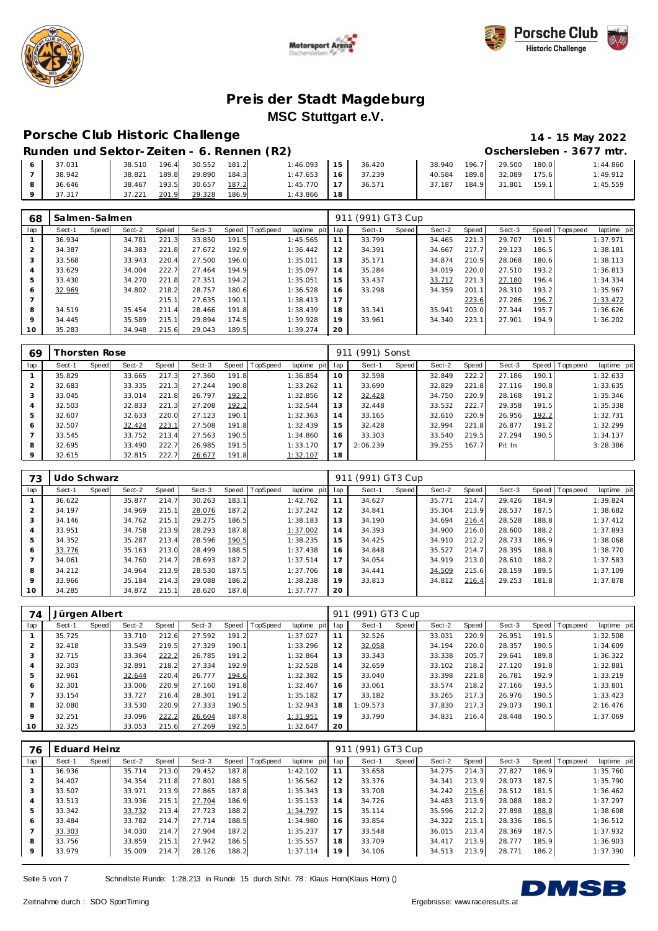





## **Porsche C lub Historic Challenge 14 - 15 May 2022**

| Runden und Sektor-Zeiten - 6. Rennen (R2) |        |       |                           |       |          |    |        |        |        |              |       | Oschersleben - 3677 mtr. |
|-------------------------------------------|--------|-------|---------------------------|-------|----------|----|--------|--------|--------|--------------|-------|--------------------------|
| 37.031                                    |        |       | 38.510 196.4 30.552 181.2 |       | 1:46.093 | 15 | 36.420 | 38.940 |        | 196.7 29.500 | 180.0 | 1:44.860                 |
| 38.942                                    | 38.821 | 189.8 | 29.890                    | 184.3 | 1:47.653 | 16 | 37.239 | 40.584 | 189.81 | 32.089       | 175.6 | 1:49.912                 |
| 36.646                                    | 38.467 | 193.5 | 30.657                    | 187.2 | 1:45.770 | 17 | 36.571 | 37.187 | 184.9  | 31.801       | 159.1 | 1:45.559                 |
| 37.317                                    | 37.221 | 201.9 | 29.328                    | 186.9 | 1:43.866 | 18 |        |        |        |              |       |                          |

| 68             | Salmen-Salmen |       |        |       |        |       |          |             | 911 | (991) GT3 Cup |       |        |       |        |       |             |             |
|----------------|---------------|-------|--------|-------|--------|-------|----------|-------------|-----|---------------|-------|--------|-------|--------|-------|-------------|-------------|
| lap            | Sect-1        | Speed | Sect-2 | Speed | Sect-3 | Speed | TopSpeed | laptime pit | lap | Sect-1        | Speed | Sect-2 | Speed | Sect-3 | Speed | T ops pee d | laptime pit |
|                | 36.934        |       | 34.781 | 221.3 | 33.850 | 191.5 |          | 1:45.565    | 11  | 33.799        |       | 34.465 | 221.3 | 29.707 | 191.5 |             | 1:37.971    |
| 2              | 34.387        |       | 34.383 | 221.8 | 27.672 | 192.9 |          | 1:36.442    | 12  | 34.391        |       | 34.667 | 217.7 | 29.123 | 186.5 |             | 1:38.181    |
| 3              | 33.568        |       | 33.943 | 220.4 | 27.500 | 196.0 |          | 1:35.011    | 13  | 35.171        |       | 34.874 | 210.9 | 28.068 | 180.6 |             | 1:38.113    |
| 4              | 33.629        |       | 34.004 | 222.7 | 27.464 | 194.9 |          | 1:35.097    | 14  | 35.284        |       | 34.019 | 220.0 | 27.510 | 193.2 |             | 1:36.813    |
| 5              | 33.430        |       | 34.270 | 221.8 | 27.351 | 194.2 |          | 1:35.051    | 15  | 33.437        |       | 33.717 | 221.3 | 27.180 | 196.4 |             | 1:34.334    |
| 6              | 32.969        |       | 34.802 | 218.2 | 28.757 | 180.6 |          | 1:36.528    | 16  | 33.298        |       | 34.359 | 201.1 | 28.310 | 193.2 |             | 1:35.967    |
| $\overline{ }$ |               |       |        | 215.1 | 27.635 | 190.1 |          | 1:38.413    | 17  |               |       |        | 223.6 | 27.286 | 196.7 |             | 1:33.472    |
| 8              | 34.519        |       | 35.454 | 211.4 | 28.466 | 191.8 |          | 1:38.439    | 18  | 33.341        |       | 35.941 | 203.0 | 27.344 | 195.7 |             | 1:36.626    |
| $\circ$        | 34.445        |       | 35.589 | 215.1 | 29.894 | 174.5 |          | 1:39.928    | 19  | 33.961        |       | 34.340 | 223.1 | 27.901 | 194.9 |             | 1:36.202    |
| 10             | 35.283        |       | 34.948 | 215.6 | 29.043 | 189.5 |          | 1:39.274    | 20  |               |       |        |       |        |       |             |             |

| 69  |        | horsten Rose |        |       |        |       |          |             | 911 | (991) Sonst |       |        |       |        |       |           |             |
|-----|--------|--------------|--------|-------|--------|-------|----------|-------------|-----|-------------|-------|--------|-------|--------|-------|-----------|-------------|
| lap | Sect-1 | Speed        | Sect-2 | Speed | Sect-3 | Speed | TopSpeed | laptime pit | lap | Sect-1      | Speed | Sect-2 | Speed | Sect-3 | Speed | Tops peed | laptime pit |
|     | 35.829 |              | 33.665 | 217.3 | 27.360 | 191.8 |          | 1:36.854    | 10  | 32.598      |       | 32.849 | 222.2 | 27.186 | 190.1 |           | 1:32.633    |
|     | 32.683 |              | 33.335 | 221.3 | 27.244 | 190.8 |          | 1:33.262    | 11  | 33.690      |       | 32.829 | 221.8 | 27.116 | 190.8 |           | 1:33.635    |
| 3   | 33.045 |              | 33.014 | 221.8 | 26.797 | 192.2 |          | 1:32.856    | 12  | 32.428      |       | 34.750 | 220.9 | 28.168 | 191.2 |           | 1:35.346    |
| 4   | 32.503 |              | 32.833 | 221.3 | 27.208 | 192.2 |          | 1:32.544    | 13  | 32.448      |       | 33.532 | 222.7 | 29.358 | 191.5 |           | 1:35.338    |
| 5   | 32.607 |              | 32.633 | 220.0 | 27.123 | 190.1 |          | 1:32.363    | 14  | 33.165      |       | 32.610 | 220.9 | 26.956 | 192.2 |           | 1:32.731    |
| 6   | 32.507 |              | 32.424 | 223.1 | 27.508 | 191.8 |          | 1:32.439    | 15  | 32.428      |       | 32.994 | 221.8 | 26.877 | 191.2 |           | 1:32.299    |
|     | 33.545 |              | 33.752 | 213.4 | 27.563 | 190.5 |          | 1:34.860    | 16  | 33.303      |       | 33.540 | 219.5 | 27.294 | 190.5 |           | 1:34.137    |
| 8   | 32.695 |              | 33.490 | 222.7 | 26.985 | 191.5 |          | 1:33.170    | 17  | 2:06.239    |       | 39.255 | 167.7 | Pit In |       |           | 3:28.386    |
|     | 32.615 |              | 32.815 | 222.7 | 26.677 | 191.8 |          | 1:32.107    | 18  |             |       |        |       |        |       |           |             |

| 73  | Udo Schwarz |       |        |       |        |       |                |             | 911 | (991) GT3 Cup |       |        |       |        |       |                   |             |
|-----|-------------|-------|--------|-------|--------|-------|----------------|-------------|-----|---------------|-------|--------|-------|--------|-------|-------------------|-------------|
| lap | Sect-1      | Speed | Sect-2 | Speed | Sect-3 |       | Speed TopSpeed | laptime pit | lap | Sect-1        | Speed | Sect-2 | Speed | Sect-3 |       | Speed   Tops peed | laptime pit |
|     | 36.622      |       | 35.877 | 214.7 | 30.263 | 183.1 |                | 1:42.762    | 11  | 34.627        |       | 35.771 | 214.7 | 29.426 | 184.9 |                   | 1:39.824    |
| 2   | 34.197      |       | 34.969 | 215.1 | 28.076 | 187.2 |                | 1:37.242    | 12  | 34.841        |       | 35.304 | 213.9 | 28.537 | 187.5 |                   | 1:38.682    |
| 3   | 34.146      |       | 34.762 | 215.1 | 29.275 | 186.5 |                | 1:38.183    | 13  | 34.190        |       | 34.694 | 216.4 | 28.528 | 188.8 |                   | 1:37.412    |
| 4   | 33.951      |       | 34.758 | 213.9 | 28.293 | 187.8 |                | 1:37.002    | 14  | 34.393        |       | 34.900 | 216.0 | 28.600 | 188.2 |                   | 1:37.893    |
| 5   | 34.352      |       | 35.287 | 213.4 | 28.596 | 190.5 |                | 1:38.235    | 15  | 34.425        |       | 34.910 | 212.2 | 28.733 | 186.9 |                   | 1:38.068    |
| 6   | 33.776      |       | 35.163 | 213.0 | 28.499 | 188.5 |                | 1:37.438    | 16  | 34.848        |       | 35.527 | 214.7 | 28.395 | 188.8 |                   | 1:38.770    |
|     | 34.061      |       | 34.760 | 214.7 | 28.693 | 187.2 |                | 1:37.514    | 17  | 34.054        |       | 34.919 | 213.0 | 28.610 | 188.2 |                   | 1:37.583    |
| 8   | 34.212      |       | 34.964 | 213.9 | 28.530 | 187.5 |                | 1:37.706    | 18  | 34.441        |       | 34.509 | 215.6 | 28.159 | 189.5 |                   | 1:37.109    |
| 9   | 33.966      |       | 35.184 | 214.3 | 29.088 | 186.2 |                | 1:38.238    | 19  | 33.813        |       | 34.812 | 216.4 | 29.253 | 181.8 |                   | 1:37.878    |
| 10  | 34.285      |       | 34.872 | 215.1 | 28.620 | 187.8 |                | 1:37.777    | 20  |               |       |        |       |        |       |                   |             |

| 74             | Jürgen Albert |       |        |       |        |       |                |             | 911 | (991) GT3 Cup |       |        |       |        |       |                  |             |
|----------------|---------------|-------|--------|-------|--------|-------|----------------|-------------|-----|---------------|-------|--------|-------|--------|-------|------------------|-------------|
| lap            | Sect-1        | Speed | Sect-2 | Speed | Sect-3 |       | Speed TopSpeed | laptime pit | lap | Sect-1        | Speed | Sect-2 | Speed | Sect-3 |       | Speed   Topspeed | laptime pit |
|                | 35.725        |       | 33.710 | 212.6 | 27.592 | 191.2 |                | 1:37.027    | 11  | 32.526        |       | 33.031 | 220.9 | 26.951 | 191.5 |                  | 1:32.508    |
| 2              | 32.418        |       | 33.549 | 219.5 | 27.329 | 190.1 |                | 1:33.296    | 12  | 32.058        |       | 34.194 | 220.0 | 28.357 | 190.5 |                  | 1:34.609    |
| 3              | 32.715        |       | 33.364 | 222.2 | 26.785 | 191.2 |                | 1:32.864    | 13  | 33.343        |       | 33.338 | 205.7 | 29.641 | 189.8 |                  | 1:36.322    |
| $\overline{4}$ | 32.303        |       | 32.891 | 218.2 | 27.334 | 192.9 |                | 1:32.528    | 14  | 32.659        |       | 33.102 | 218.2 | 27.120 | 191.8 |                  | 1:32.881    |
| 5              | 32.961        |       | 32.644 | 220.4 | 26.777 | 194.6 |                | 1:32.382    | 15  | 33.040        |       | 33.398 | 221.8 | 26.781 | 192.9 |                  | 1:33.219    |
| 6              | 32.301        |       | 33.006 | 220.9 | 27.160 | 191.8 |                | 1:32.467    | 16  | 33.061        |       | 33.574 | 218.2 | 27.166 | 193.5 |                  | 1:33.801    |
|                | 33.154        |       | 33.727 | 216.4 | 28.301 | 191.2 |                | 1:35.182    | 17  | 33.182        |       | 33.265 | 217.3 | 26.976 | 190.5 |                  | 1:33.423    |
| 8              | 32.080        |       | 33.530 | 220.9 | 27.333 | 190.5 |                | 1:32.943    | 18  | 1:09.573      |       | 37.830 | 217.3 | 29.073 | 190.1 |                  | 2:16.476    |
| 9              | 32.251        |       | 33.096 | 222.2 | 26.604 | 187.8 |                | 1:31.951    | 19  | 33.790        |       | 34.831 | 216.4 | 28.448 | 190.5 |                  | 1:37.069    |
| 10             | 32.325        |       | 33.053 | 215.6 | 27.269 | 192.5 |                | 1:32.647    | 20  |               |       |        |       |        |       |                  |             |

| 76             | Eduard Heinz |       |        |       |        |       |                 |             | 911 | (991) GT3 Cup |              |        |         |        |       |                |             |
|----------------|--------------|-------|--------|-------|--------|-------|-----------------|-------------|-----|---------------|--------------|--------|---------|--------|-------|----------------|-------------|
| lap            | Sect-1       | Speed | Sect-2 | Speed | Sect-3 | Speed | <b>TopSpeed</b> | laptime pit | lap | Sect-1        | <b>Speed</b> | Sect-2 | Speed ! | Sect-3 |       | Speed Topspeed | laptime pit |
|                | 36.936       |       | 35.714 | 213.0 | 29.452 | 187.8 |                 | 1:42.102    | 11  | 33.658        |              | 34.275 | 214.3   | 27.827 | 186.9 |                | 1:35.760    |
| $\overline{2}$ | 34.407       |       | 34.354 | 211.8 | 27.801 | 188.5 |                 | 1:36.562    | 12  | 33.376        |              | 34.341 | 213.9   | 28.073 | 187.5 |                | 1:35.790    |
| 3              | 33.507       |       | 33.971 | 213.9 | 27.865 | 187.8 |                 | 1:35.343    | 13  | 33.708        |              | 34.242 | 215.6   | 28.512 | 181.5 |                | 1:36.462    |
| 4              | 33.513       |       | 33.936 | 215.1 | 27.704 | 186.9 |                 | 1:35.153    | 14  | 34.726        |              | 34.483 | 213.9   | 28.088 | 188.2 |                | 1:37.297    |
| 5              | 33.342       |       | 33.732 | 213.4 | 27.723 | 188.2 |                 | 1:34.797    | 15  | 35.114        |              | 35.596 | 212.2   | 27.898 | 188.8 |                | 1:38.608    |
| 6              | 33.484       |       | 33.782 | 214.7 | 27.714 | 188.5 |                 | 1:34.980    | 16  | 33.854        |              | 34.322 | 215.1   | 28.336 | 186.5 |                | 1:36.512    |
|                | 33.303       |       | 34.030 | 214.7 | 27.904 | 187.2 |                 | 1:35.237    | 17  | 33.548        |              | 36.015 | 213.4   | 28.369 | 187.5 |                | 1:37.932    |
| 8              | 33.756       |       | 33.859 | 215.1 | 27.942 | 186.5 |                 | 1:35.557    | 18  | 33.709        |              | 34.417 | 213.9   | 28.777 | 185.9 |                | 1:36.903    |
| $\circ$        | 33.979       |       | 35.009 | 214.7 | 28.126 | 188.2 |                 | 1:37.114    | 19  | 34.106        |              | 34.513 | 213.9   | 28.771 | 186.2 |                | 1:37.390    |

Seite 5 von 7 Schnellste Runde: 1:28.213 in Runde 15 durch StNr. 78: Klaus Horn(Klaus Horn) ()

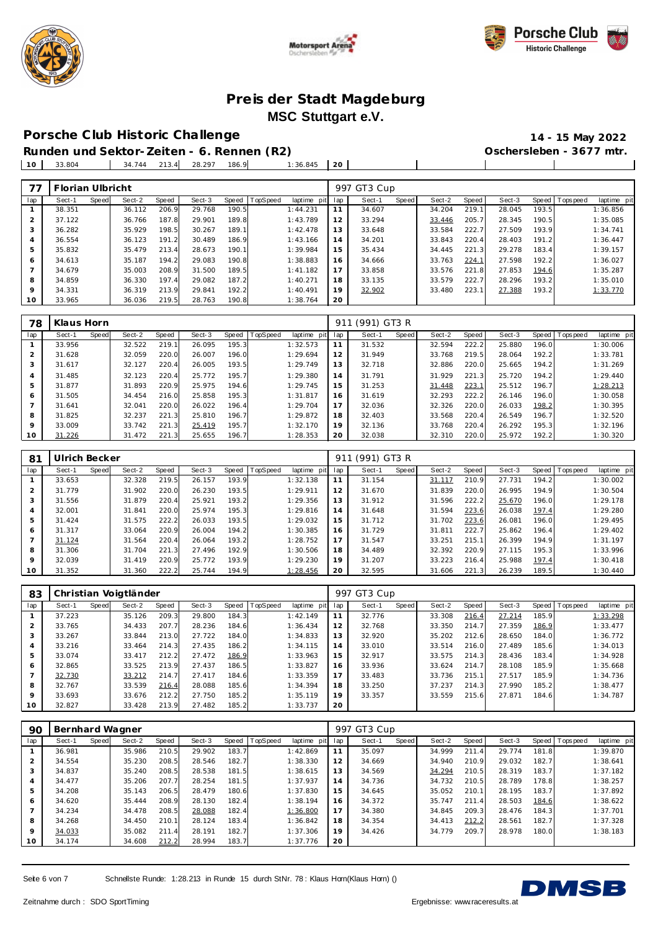





#### **Porsche C lub Historic Challenge 14 - 15 May 2022**

**Runden und Sektor-Zeiten - 6. Rennen (R2) Oschersleben - 3677 mtr.**

**The Community** 

 $\overline{\phantom{0}}$ 

33.804 34.744 213.4 28.297 186.9 1:36.845 **20**

| 77             | Florian Ulbricht |       |        |       |        |       |          |             |     | 997 GT3 Cup |       |        |       |        |       |                   |             |
|----------------|------------------|-------|--------|-------|--------|-------|----------|-------------|-----|-------------|-------|--------|-------|--------|-------|-------------------|-------------|
| lap            | Sect-1           | Speed | Sect-2 | Speed | Sect-3 | Speed | TopSpeed | laptime pit | lap | Sect-1      | Speed | Sect-2 | Speed | Sect-3 |       | Speed   Tops peed | laptime pit |
|                | 38.351           |       | 36.112 | 206.9 | 29.768 | 190.5 |          | 1:44.231    | 11  | 34.607      |       | 34.204 | 219.1 | 28.045 | 193.5 |                   | 1:36.856    |
| $\bigcap$<br>∠ | 37.122           |       | 36.766 | 187.8 | 29.901 | 189.8 |          | 1:43.789    | 12  | 33.294      |       | 33.446 | 205.7 | 28.345 | 190.5 |                   | 1:35.085    |
| 3              | 36.282           |       | 35.929 | 198.5 | 30.267 | 189.1 |          | 1:42.478    | 13  | 33.648      |       | 33.584 | 222.7 | 27.509 | 193.9 |                   | 1:34.741    |
| 4              | 36.554           |       | 36.123 | 191.2 | 30.489 | 186.9 |          | 1:43.166    | 14  | 34.201      |       | 33.843 | 220.4 | 28.403 | 191.2 |                   | 1:36.447    |
| 5              | 35.832           |       | 35.479 | 213.4 | 28.673 | 190.1 |          | 1:39.984    | 15  | 35.434      |       | 34.445 | 221.3 | 29.278 | 183.4 |                   | 1:39.157    |
| 6              | 34.613           |       | 35.187 | 194.2 | 29.083 | 190.8 |          | 1:38.883    | 16  | 34.666      |       | 33.763 | 224.1 | 27.598 | 192.2 |                   | 1:36.027    |
|                | 34.679           |       | 35.003 | 208.9 | 31.500 | 189.5 |          | 1:41.182    | 17  | 33.858      |       | 33.576 | 221.8 | 27.853 | 194.6 |                   | 1:35.287    |
| 8              | 34.859           |       | 36.330 | 197.4 | 29.082 | 187.2 |          | 1:40.271    | 18  | 33.135      |       | 33.579 | 222.7 | 28.296 | 193.2 |                   | 1:35.010    |
| $\circ$        | 34.331           |       | 36.319 | 213.9 | 29.841 | 192.2 |          | 1:40.491    | 19  | 32.902      |       | 33.480 | 223.1 | 27.388 | 193.2 |                   | 1:33.770    |
| 10             | 33.965           |       | 36.036 | 219.5 | 28.763 | 190.8 |          | 1:38.764    | 20  |             |       |        |       |        |       |                   |             |

| 78  | Klaus Horn |       |        |       |        |       |                 |             | 911 | (991) GT3 R |       |        |       |        |       |                |             |
|-----|------------|-------|--------|-------|--------|-------|-----------------|-------------|-----|-------------|-------|--------|-------|--------|-------|----------------|-------------|
| lap | Sect-1     | Speed | Sect-2 | Speed | Sect-3 | Speed | <b>TopSpeed</b> | laptime pit | lap | Sect-1      | Speed | Sect-2 | Speed | Sect-3 |       | Speed Topspeed | laptime pit |
|     | 33.956     |       | 32.522 | 219.1 | 26.095 | 195.3 |                 | 1:32.573    |     | 31.532      |       | 32.594 | 222.2 | 25.880 | 196.0 |                | 1:30.006    |
| 2   | 31.628     |       | 32.059 | 220.0 | 26.007 | 196.0 |                 | 1:29.694    | 12  | 31.949      |       | 33.768 | 219.5 | 28.064 | 192.2 |                | 1:33.781    |
| 3   | 31.617     |       | 32.127 | 220.4 | 26.005 | 193.5 |                 | 1:29.749    | 13  | 32.718      |       | 32.886 | 220.0 | 25.665 | 194.2 |                | 1:31.269    |
| 4   | 31.485     |       | 32.123 | 220.4 | 25.772 | 195.7 |                 | 1:29.380    | 14  | 31.791      |       | 31.929 | 221.3 | 25.720 | 194.2 |                | 1:29.440    |
| 5   | 31.877     |       | 31.893 | 220.9 | 25.975 | 194.6 |                 | 1:29.745    | 15  | 31.253      |       | 31.448 | 223.1 | 25.512 | 196.7 |                | 1:28.213    |
| 6   | 31.505     |       | 34.454 | 216.0 | 25.858 | 195.3 |                 | 1:31.817    | 16  | 31.619      |       | 32.293 | 222.2 | 26.146 | 196.0 |                | 1:30.058    |
|     | 31.641     |       | 32.041 | 220.0 | 26.022 | 196.4 |                 | 1:29.704    | 17  | 32.036      |       | 32.326 | 220.0 | 26.033 | 198.2 |                | 1:30.395    |
| 8   | 31.825     |       | 32.237 | 221.3 | 25.810 | 196.7 |                 | 1:29.872    | 18  | 32.403      |       | 33.568 | 220.4 | 26.549 | 196.7 |                | 1:32.520    |
| 9   | 33.009     |       | 33.742 | 221.3 | 25.419 | 195.7 |                 | 1:32.170    | 19  | 32.136      |       | 33.768 | 220.4 | 26.292 | 195.3 |                | 1:32.196    |
| 10  | 31.226     |       | 31.472 | 221.3 | 25.655 | 196.7 |                 | 1:28.353    | 20  | 32.038      |       | 32.310 | 220.0 | 25.972 | 192.2 |                | 1:30.320    |

| 81             | Ulrich Becker |              |        |       |        |       |          |             | 91 <sup>°</sup> | (991) GT3 R |       |        |       |        |       |                |             |
|----------------|---------------|--------------|--------|-------|--------|-------|----------|-------------|-----------------|-------------|-------|--------|-------|--------|-------|----------------|-------------|
| lap            | Sect-1        | <b>Speed</b> | Sect-2 | Speed | Sect-3 | Speed | TopSpeed | laptime pit | lap             | Sect-1      | Speed | Sect-2 | Speed | Sect-3 |       | Speed Topspeed | laptime pit |
|                | 33.653        |              | 32.328 | 219.5 | 26.157 | 193.9 |          | 1:32.138    |                 | 31.154      |       | 31.117 | 210.9 | 27.731 | 194.2 |                | 1:30.002    |
| 2              | 31.779        |              | 31.902 | 220.0 | 26.230 | 193.5 |          | 1:29.911    | 12              | 31.670      |       | 31.839 | 220.0 | 26.995 | 194.9 |                | 1:30.504    |
| 3              | 31.556        |              | 31.879 | 220.4 | 25.921 | 193.2 |          | 1:29.356    | 13              | 31.912      |       | 31.596 | 222.2 | 25.670 | 196.0 |                | 1:29.178    |
| $\overline{4}$ | 32.001        |              | 31.841 | 220.0 | 25.974 | 195.3 |          | 1:29.816    | 14              | 31.648      |       | 31.594 | 223.6 | 26.038 | 197.4 |                | 1:29.280    |
| 5              | 31.424        |              | 31.575 | 222.2 | 26.033 | 193.5 |          | 1:29.032    | 15              | 31.712      |       | 31.702 | 223.6 | 26.081 | 196.0 |                | 1:29.495    |
| 6              | 31.317        |              | 33.064 | 220.9 | 26.004 | 194.2 |          | 1:30.385    | 16              | 31.729      |       | 31.811 | 222.7 | 25.862 | 196.4 |                | 1:29.402    |
| $\overline{7}$ | 31.124        |              | 31.564 | 220.4 | 26.064 | 193.2 |          | 1:28.752    | 17              | 31.547      |       | 33.251 | 215.1 | 26.399 | 194.9 |                | 1:31.197    |
| 8              | 31.306        |              | 31.704 | 221.3 | 27.496 | 192.9 |          | 1:30.506    | 18              | 34.489      |       | 32.392 | 220.9 | 27.115 | 195.3 |                | 1:33.996    |
| 9              | 32.039        |              | 31.419 | 220.9 | 25.772 | 193.9 |          | 1:29.230    | 19              | 31.207      |       | 33.223 | 216.4 | 25.988 | 197.4 |                | 1:30.418    |
| 10             | 31.352        |              | 31.360 | 222.2 | 25.744 | 194.9 |          | 1:28.456    | 20              | 32.595      |       | 31.606 | 221.3 | 26.239 | 189.5 |                | 1:30.440    |

| 83  |        |       | Christian Voigtländer |       |        |       |          |                |     | 997 GT3 Cup |       |        |       |        |       |                   |             |
|-----|--------|-------|-----------------------|-------|--------|-------|----------|----------------|-----|-------------|-------|--------|-------|--------|-------|-------------------|-------------|
| lap | Sect-1 | Speed | Sect-2                | Speed | Sect-3 | Speed | TopSpeed | laptime<br>pit | lap | Sect-1      | Speed | Sect-2 | Speed | Sect-3 |       | Speed   Tops peed | laptime pit |
|     | 37.223 |       | 35.126                | 209.3 | 29.800 | 184.3 |          | 1:42.149       | 11  | 32.776      |       | 33.308 | 216.4 | 27.214 | 185.9 |                   | 1:33.298    |
| 2   | 33.765 |       | 34.433                | 207.7 | 28.236 | 184.6 |          | 1:36.434       | 12  | 32.768      |       | 33.350 | 214.7 | 27.359 | 186.9 |                   | 1:33.477    |
| 3   | 33.267 |       | 33.844                | 213.0 | 27.722 | 184.0 |          | 1:34.833       | 13  | 32.920      |       | 35.202 | 212.6 | 28.650 | 184.0 |                   | 1:36.772    |
| 4   | 33.216 |       | 33.464                | 214.3 | 27.435 | 186.2 |          | 1:34.115       | 14  | 33.010      |       | 33.514 | 216.0 | 27.489 | 185.6 |                   | 1:34.013    |
| 5   | 33.074 |       | 33.417                | 212.2 | 27.472 | 186.9 |          | 1:33.963       | 15  | 32.917      |       | 33.575 | 214.3 | 28.436 | 183.4 |                   | 1:34.928    |
| 6   | 32.865 |       | 33.525                | 213.9 | 27.437 | 186.5 |          | 1:33.827       | 16  | 33.936      |       | 33.624 | 214.7 | 28.108 | 185.9 |                   | 1:35.668    |
| 7   | 32.730 |       | 33.212                | 214.7 | 27.417 | 184.6 |          | 1:33.359       | 17  | 33.483      |       | 33.736 | 215.1 | 27.517 | 185.9 |                   | 1:34.736    |
| 8   | 32.767 |       | 33.539                | 216.4 | 28.088 | 185.6 |          | 1:34.394       | 18  | 33.250      |       | 37.237 | 214.3 | 27.990 | 185.2 |                   | 1:38.477    |
| 9   | 33.693 |       | 33.676                | 212.2 | 27.750 | 185.2 |          | 1:35.119       | 19  | 33.357      |       | 33.559 | 215.6 | 27.871 | 184.6 |                   | 1:34.787    |
| 10  | 32.827 |       | 33.428                | 213.9 | 27.482 | 185.2 |          | 1:33.737       | 20  |             |       |        |       |        |       |                   |             |

| 90             | Bernhard Wagner |       |        |       |        |       |                |             |     | 997 GT3 Cup |       |        |       |        |       |                |             |
|----------------|-----------------|-------|--------|-------|--------|-------|----------------|-------------|-----|-------------|-------|--------|-------|--------|-------|----------------|-------------|
| lap            | Sect-1          | Speed | Sect-2 | Speed | Sect-3 |       | Speed TopSpeed | laptime pit | lap | Sect-1      | Speed | Sect-2 | Speed | Sect-3 |       | Speed Topspeed | laptime pit |
|                | 36.981          |       | 35.986 | 210.5 | 29.902 | 183.7 |                | 1:42.869    | 11  | 35.097      |       | 34.999 | 211.4 | 29.774 | 181.8 |                | 1:39.870    |
| $\overline{2}$ | 34.554          |       | 35.230 | 208.5 | 28.546 | 182.7 |                | 1:38.330    | 12  | 34.669      |       | 34.940 | 210.9 | 29.032 | 182.7 |                | 1:38.641    |
| 3              | 34.837          |       | 35.240 | 208.5 | 28.538 | 181.5 |                | 1:38.615    | 13  | 34.569      |       | 34.294 | 210.5 | 28.319 | 183.7 |                | 1:37.182    |
| $\overline{4}$ | 34.477          |       | 35.206 | 207.7 | 28.254 | 181.5 |                | 1:37.937    | 14  | 34.736      |       | 34.732 | 210.5 | 28.789 | 178.8 |                | 1:38.257    |
| 5              | 34.208          |       | 35.143 | 206.5 | 28.479 | 180.6 |                | 1:37.830    | 15  | 34.645      |       | 35.052 | 210.1 | 28.195 | 183.7 |                | 1:37.892    |
| 6              | 34.620          |       | 35.444 | 208.9 | 28.130 | 182.4 |                | 1:38.194    | 16  | 34.372      |       | 35.747 | 211.4 | 28.503 | 184.6 |                | 1:38.622    |
|                | 34.234          |       | 34.478 | 208.5 | 28.088 | 182.4 |                | 1:36.800    | 17  | 34.380      |       | 34.845 | 209.3 | 28.476 | 184.3 |                | 1:37.701    |
| 8              | 34.268          |       | 34.450 | 210.1 | 28.124 | 183.4 |                | 1:36.842    | 18  | 34.354      |       | 34.413 | 212.2 | 28.561 | 182.7 |                | 1:37.328    |
| 9              | 34.033          |       | 35.082 | 211.4 | 28.191 | 182.7 |                | 1:37.306    | 19  | 34.426      |       | 34.779 | 209.7 | 28.978 | 180.0 |                | 1:38.183    |
| 10             | 34.174          |       | 34.608 | 212.2 | 28.994 | 183.7 |                | 1:37.776    | 20  |             |       |        |       |        |       |                |             |

Seite 6 von 7 Schnellste Runde: 1:28.213 in Runde 15 durch StNr. 78: Klaus Horn(Klaus Horn) ()